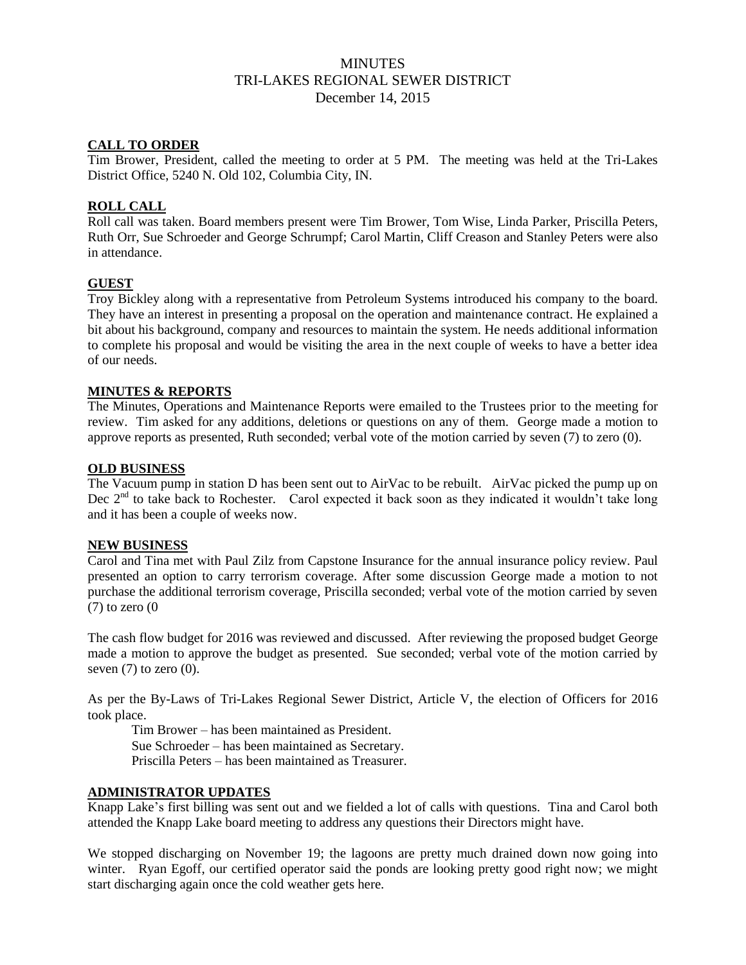# **MINUTES** TRI-LAKES REGIONAL SEWER DISTRICT December 14, 2015

### **CALL TO ORDER**

Tim Brower, President, called the meeting to order at 5 PM. The meeting was held at the Tri-Lakes District Office, 5240 N. Old 102, Columbia City, IN.

### **ROLL CALL**

Roll call was taken. Board members present were Tim Brower, Tom Wise, Linda Parker, Priscilla Peters, Ruth Orr, Sue Schroeder and George Schrumpf; Carol Martin, Cliff Creason and Stanley Peters were also in attendance.

### **GUEST**

Troy Bickley along with a representative from Petroleum Systems introduced his company to the board. They have an interest in presenting a proposal on the operation and maintenance contract. He explained a bit about his background, company and resources to maintain the system. He needs additional information to complete his proposal and would be visiting the area in the next couple of weeks to have a better idea of our needs.

## **MINUTES & REPORTS**

The Minutes, Operations and Maintenance Reports were emailed to the Trustees prior to the meeting for review. Tim asked for any additions, deletions or questions on any of them. George made a motion to approve reports as presented, Ruth seconded; verbal vote of the motion carried by seven (7) to zero (0).

#### **OLD BUSINESS**

The Vacuum pump in station D has been sent out to AirVac to be rebuilt. AirVac picked the pump up on Dec  $2<sup>nd</sup>$  to take back to Rochester. Carol expected it back soon as they indicated it wouldn't take long and it has been a couple of weeks now.

### **NEW BUSINESS**

Carol and Tina met with Paul Zilz from Capstone Insurance for the annual insurance policy review. Paul presented an option to carry terrorism coverage. After some discussion George made a motion to not purchase the additional terrorism coverage, Priscilla seconded; verbal vote of the motion carried by seven  $(7)$  to zero  $(0)$ 

The cash flow budget for 2016 was reviewed and discussed. After reviewing the proposed budget George made a motion to approve the budget as presented. Sue seconded; verbal vote of the motion carried by seven  $(7)$  to zero  $(0)$ .

As per the By-Laws of Tri-Lakes Regional Sewer District, Article V, the election of Officers for 2016 took place.

Tim Brower – has been maintained as President.

Sue Schroeder – has been maintained as Secretary.

Priscilla Peters – has been maintained as Treasurer.

# **ADMINISTRATOR UPDATES**

Knapp Lake's first billing was sent out and we fielded a lot of calls with questions. Tina and Carol both attended the Knapp Lake board meeting to address any questions their Directors might have.

We stopped discharging on November 19; the lagoons are pretty much drained down now going into winter. Ryan Egoff, our certified operator said the ponds are looking pretty good right now; we might start discharging again once the cold weather gets here.